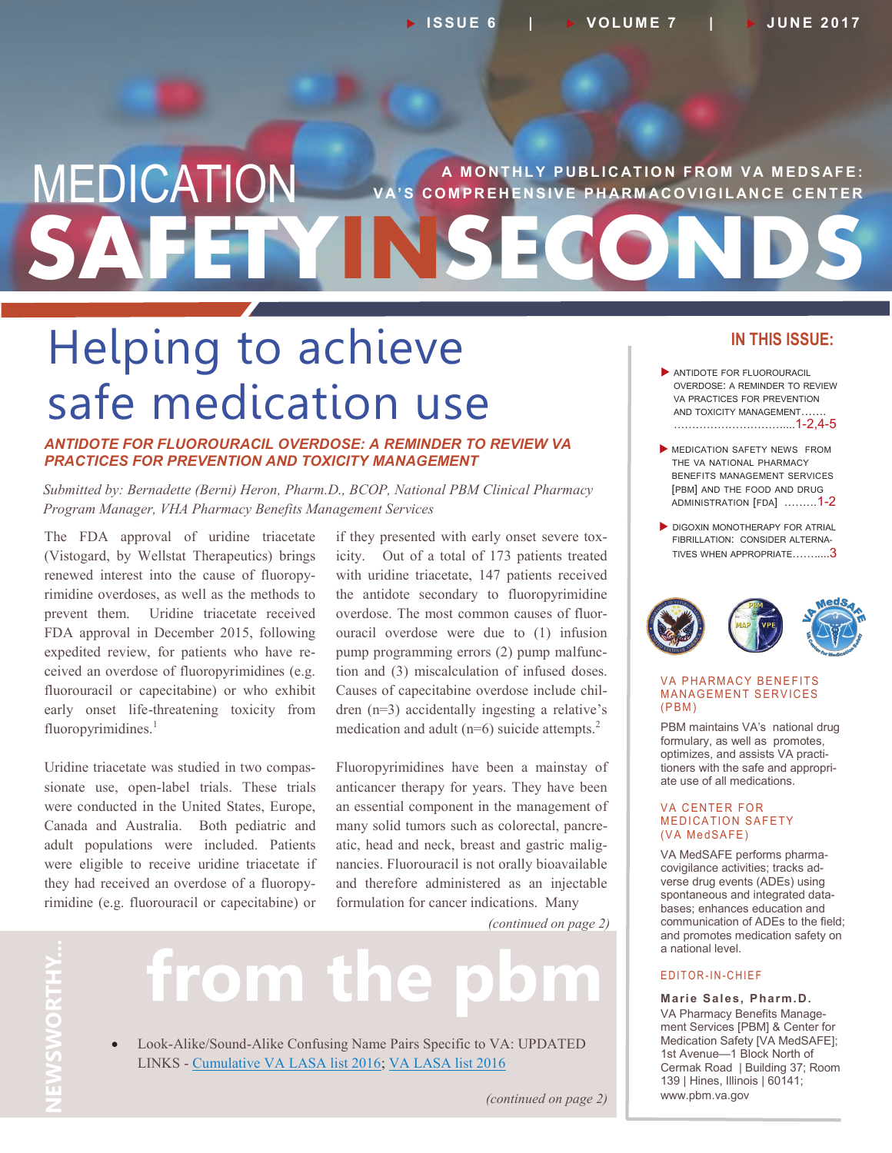## **SAFETYINSECONDS MEDICATION** VA'S COMPREHENSIVE PHARMACOVIGILANCE CENTER **V A' S C O M P R E H E N S I V E P H AR M AC O V I G I L AN C E C E N T E R**

## Helping to achieve safe medication use

#### *ANTIDOTE FOR FLUOROURACIL OVERDOSE: A REMINDER TO REVIEW VA PRACTICES FOR PREVENTION AND TOXICITY MANAGEMENT*

*Submitted by: Bernadette (Berni) Heron, Pharm.D., BCOP, National PBM Clinical Pharmacy Program Manager, VHA Pharmacy Benefits Management Services*

The FDA approval of uridine triacetate (Vistogard, by Wellstat Therapeutics) brings renewed interest into the cause of fluoropyrimidine overdoses, as well as the methods to prevent them. Uridine triacetate received FDA approval in December 2015, following expedited review, for patients who have received an overdose of fluoropyrimidines (e.g. fluorouracil or capecitabine) or who exhibit early onset life-threatening toxicity from fluoropyrimidines. $<sup>1</sup>$ </sup>

Uridine triacetate was studied in two compassionate use, open-label trials. These trials were conducted in the United States, Europe, Canada and Australia. Both pediatric and adult populations were included. Patients were eligible to receive uridine triacetate if they had received an overdose of a fluoropyrimidine (e.g. fluorouracil or capecitabine) or

if they presented with early onset severe toxicity. Out of a total of 173 patients treated with uridine triacetate, 147 patients received the antidote secondary to fluoropyrimidine overdose. The most common causes of fluorouracil overdose were due to (1) infusion pump programming errors (2) pump malfunction and (3) miscalculation of infused doses. Causes of capecitabine overdose include children (n=3) accidentally ingesting a relative's medication and adult ( $n=6$ ) suicide attempts.<sup>2</sup>

Fluoropyrimidines have been a mainstay of anticancer therapy for years. They have been an essential component in the management of many solid tumors such as colorectal, pancreatic, head and neck, breast and gastric malignancies. Fluorouracil is not orally bioavailable and therefore administered as an injectable formulation for cancer indications. Many

*(continued on page 2)*

# **NEWSWORTHY NEWSWORTHY...** Ċ

# from the

 Look-Alike/Sound-Alike Confusing Name Pairs Specific to VA: UPDATED LINKS - [Cumulative VA LASA list 2016;](https://www.pbm.va.gov/PBM/vacenterformedicationsafety/othervasafetyprojects/CumulativeVA_LASA_list_2016.pdf) [VA LASA list 2016](https://www.pbm.va.gov/PBM/vacenterformedicationsafety/othervasafetyprojects/VA_LASA_list_2016.pdf)

#### **IN THIS ISSUE:**

- ANTIDOTE FOR FLUOROURACIL OVERDOSE: A REMINDER TO REVIEW VA PRACTICES FOR PREVENTION AND TOXICITY MANAGEMENT……. …………………………....1-2,4-5
- MEDICATION SAFETY NEWS FROM THE VA NATIONAL PHARMACY BENEFITS MANAGEMENT SERVICES [PBM] AND THE FOOD AND DRUG ADMINISTRATION [FDA] .……..1-2
- **DIGOXIN MONOTHERAPY FOR ATRIAL** FIBRILLATION: CONSIDER ALTERNA-TIVES WHEN APPROPRIATE…….....3



#### **VA PHARMACY BENEFITS** MANAGEMENT SERVICES  $(PBM)$

PBM maintains VA's national drug formulary, as well as promotes, optimizes, and assists VA practitioners with the safe and appropriate use of all medications.

#### **VA CENTER FOR MEDICATION SAFETY** (VA MedSAFE)

VA MedSAFE performs pharmacovigilance activities; tracks adverse drug events (ADEs) using spontaneous and integrated databases; enhances education and communication of ADEs to the field; and promotes medication safety on a national level.

#### E D I T O R - I N - C H I E F

**Marie Sales, Pharm.D.** VA Pharmacy Benefits Management Services [PBM] & Center for Medication Safety [VA MedSAFE]; 1st Avenue—1 Block North of Cermak Road | Building 37; Room 139 | Hines, Illinois | 60141; www.pbm.va.gov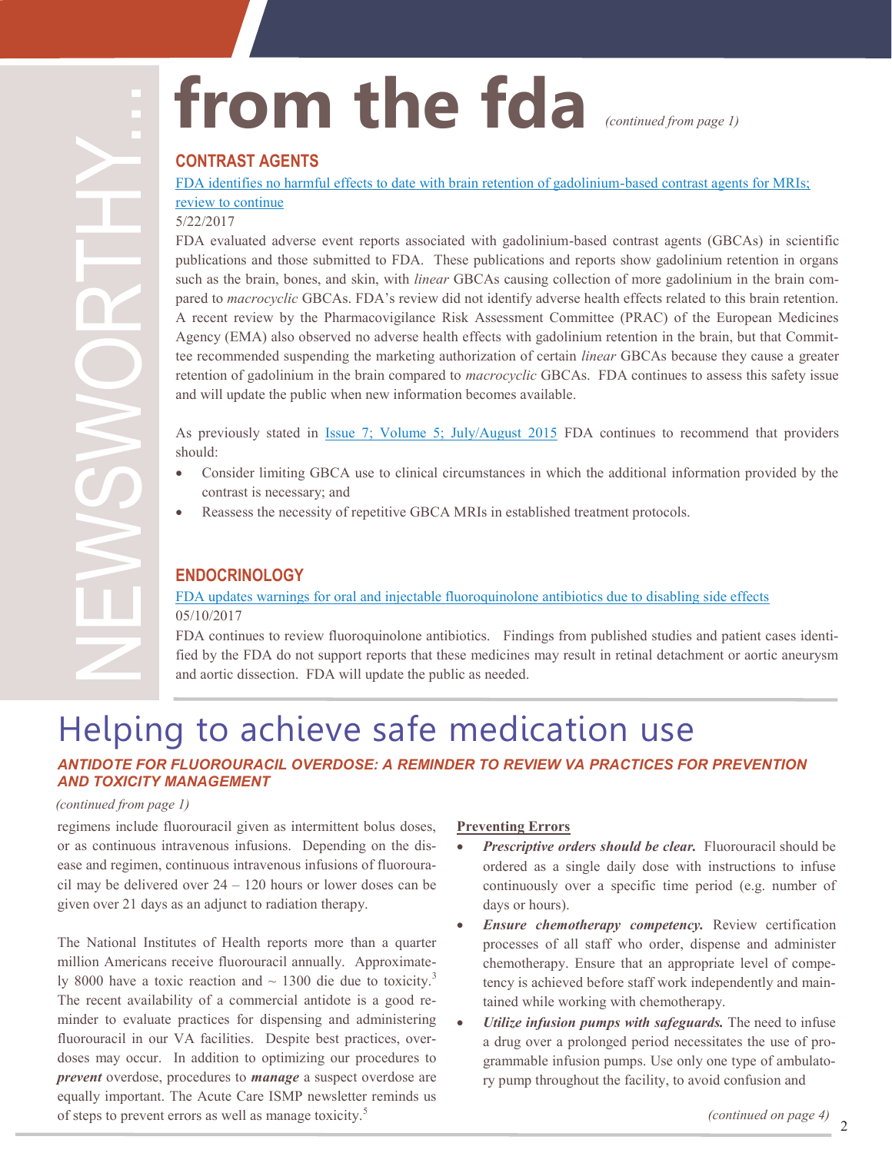# **from the fda**

*(continued from page 1)*

#### **CONTRAST AGENTS**

[FDA identifies no harmful effects to date with brain retention of gadolinium](https://www.fda.gov/Drugs/DrugSafety/ucm559007.htm)-based contrast agents for MRIs; [review to continue](https://www.fda.gov/Drugs/DrugSafety/ucm559007.htm)

#### 5/22/2017

FDA evaluated adverse event reports associated with gadolinium-based contrast agents (GBCAs) in scientific publications and those submitted to FDA. These publications and reports show gadolinium retention in organs such as the brain, bones, and skin, with *linear* GBCAs causing collection of more gadolinium in the brain compared to *macrocyclic* GBCAs. FDA's review did not identify adverse health effects related to this brain retention. A recent review by the Pharmacovigilance Risk Assessment Committee (PRAC) of the European Medicines Agency (EMA) also observed no adverse health effects with gadolinium retention in the brain, but that Committee recommended suspending the marketing authorization of certain *linear* GBCAs because they cause a greater retention of gadolinium in the brain compared to *macrocyclic* GBCAs. FDA continues to assess this safety issue and will update the public when new information becomes available.

As previously stated in [Issue 7; Volume 5; July/August 2015](https://www.pbm.va.gov/PBM/vacenterformedicationsafety/newsletter/Medication_Safety_in_Seconds_Jul_Aug_2015_FINAL.pdf) FDA continues to recommend that providers should:

- Consider limiting GBCA use to clinical circumstances in which the additional information provided by the contrast is necessary; and
- Reassess the necessity of repetitive GBCA MRIs in established treatment protocols.

#### **ENDOCRINOLOGY**

[FDA updates warnings for oral and injectable fluoroquinolone antibiotics due to disabling side effects](https://www.fda.gov/Drugs/DrugSafety/ucm511530.htm) 05/10/2017

FDA continues to review fluoroquinolone antibiotics. Findings from published studies and patient cases identified by the FDA do not support reports that these medicines may result in retinal detachment or aortic aneurysm and aortic dissection. FDA will update the public as needed.

## Helping to achieve safe medication use

#### *ANTIDOTE FOR FLUOROURACIL OVERDOSE: A REMINDER TO REVIEW VA PRACTICES FOR PREVENTION AND TOXICITY MANAGEMENT*

#### *(continued from page 1)*

regimens include fluorouracil given as intermittent bolus doses, or as continuous intravenous infusions. Depending on the disease and regimen, continuous intravenous infusions of fluorouracil may be delivered over 24 – 120 hours or lower doses can be given over 21 days as an adjunct to radiation therapy.

The National Institutes of Health reports more than a quarter million Americans receive fluorouracil annually. Approximately 8000 have a toxic reaction and  $\sim$  1300 die due to toxicity.<sup>3</sup> The recent availability of a commercial antidote is a good reminder to evaluate practices for dispensing and administering fluorouracil in our VA facilities. Despite best practices, overdoses may occur. In addition to optimizing our procedures to *prevent* overdose, procedures to *manage* a suspect overdose are equally important. The Acute Care ISMP newsletter reminds us of steps to prevent errors as well as manage toxicity.<sup>5</sup>

#### **Preventing Errors**

- *Prescriptive orders should be clear.* Fluorouracil should be ordered as a single daily dose with instructions to infuse continuously over a specific time period (e.g. number of days or hours).
- *Ensure chemotherapy competency.* Review certification processes of all staff who order, dispense and administer chemotherapy. Ensure that an appropriate level of competency is achieved before staff work independently and maintained while working with chemotherapy.
- *Utilize infusion pumps with safeguards.* The need to infuse a drug over a prolonged period necessitates the use of programmable infusion pumps. Use only one type of ambulatory pump throughout the facility, to avoid confusion and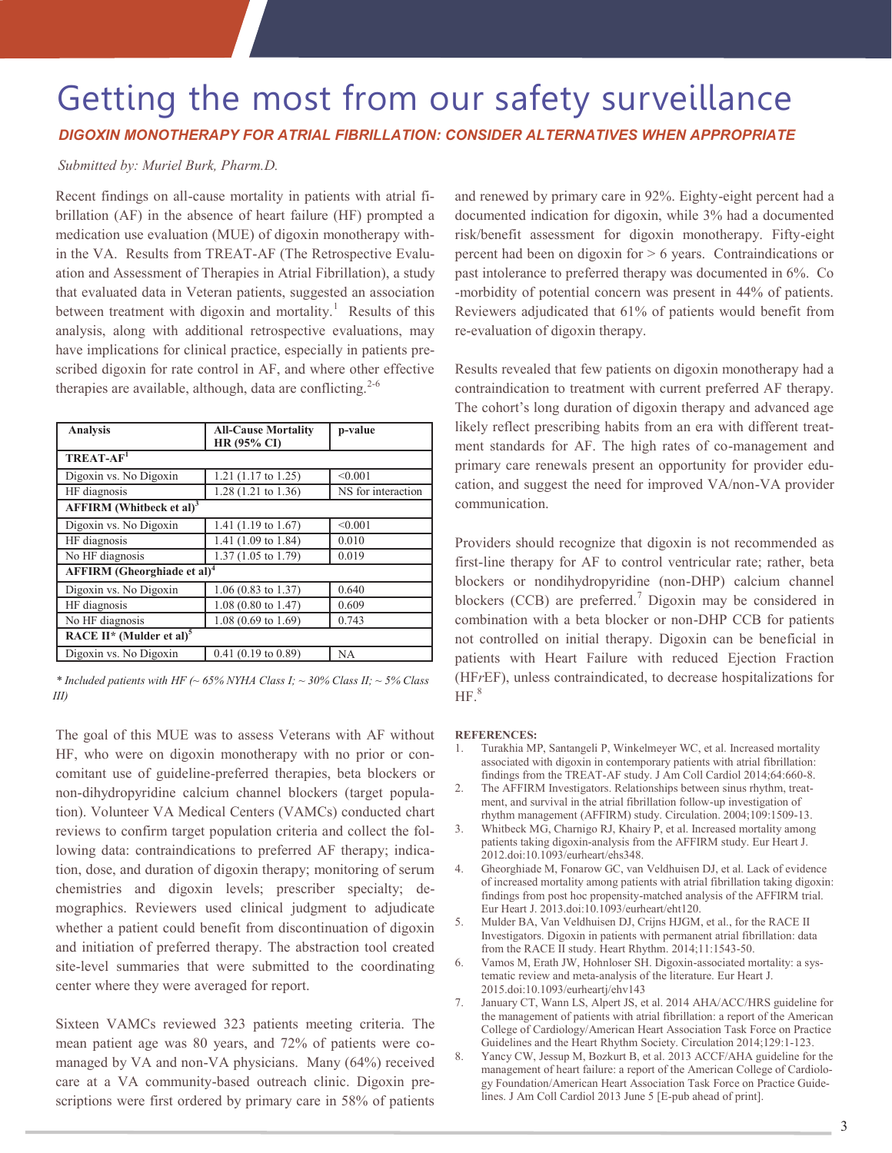### Getting the most from our safety surveillance *DIGOXIN MONOTHERAPY FOR ATRIAL FIBRILLATION: CONSIDER ALTERNATIVES WHEN APPROPRIATE*

#### *Submitted by: Muriel Burk, Pharm.D.*

Recent findings on all-cause mortality in patients with atrial fibrillation (AF) in the absence of heart failure (HF) prompted a medication use evaluation (MUE) of digoxin monotherapy within the VA. Results from TREAT-AF (The Retrospective Evaluation and Assessment of Therapies in Atrial Fibrillation), a study that evaluated data in Veteran patients, suggested an association between treatment with digoxin and mortality.<sup>1</sup> Results of this analysis, along with additional retrospective evaluations, may have implications for clinical practice, especially in patients prescribed digoxin for rate control in AF, and where other effective therapies are available, although, data are conflicting.<sup>2-6</sup>

| <b>Analysis</b>                                  | <b>All-Cause Mortality</b><br><b>HR (95% CI)</b> | p-value            |
|--------------------------------------------------|--------------------------------------------------|--------------------|
| $TREAT-AF1$                                      |                                                  |                    |
| Digoxin vs. No Digoxin                           | 1.21 $(1.17 \text{ to } 1.25)$                   | < 0.001            |
| HF diagnosis                                     | 1.28 (1.21 to 1.36)                              | NS for interaction |
| AFFIRM (Whitbeck et al) <sup>3</sup>             |                                                  |                    |
| Digoxin vs. No Digoxin                           | 1.41 $(1.19 \text{ to } 1.67)$                   | < 0.001            |
| HF diagnosis                                     | 1.41 (1.09 to 1.84)                              | 0.010              |
| No HF diagnosis                                  | 1.37 (1.05 to 1.79)                              | 0.019              |
| <b>AFFIRM</b> (Gheorghiade et al) <sup>4</sup>   |                                                  |                    |
| Digoxin vs. No Digoxin                           | $1.06(0.83 \text{ to } 1.37)$                    | 0.640              |
| HF diagnosis                                     | $1.08$ (0.80 to 1.47)                            | 0.609              |
| No HF diagnosis                                  | $1.08(0.69 \text{ to } 1.69)$                    | 0.743              |
| RACE II <sup>*</sup> (Mulder et al) <sup>5</sup> |                                                  |                    |
| Digoxin vs. No Digoxin                           | $0.41$ (0.19 to 0.89)                            | <b>NA</b>          |

*\* Included patients with HF (~ 65% NYHA Class I; ~ 30% Class II; ~ 5% Class III)* 

The goal of this MUE was to assess Veterans with AF without HF, who were on digoxin monotherapy with no prior or concomitant use of guideline-preferred therapies, beta blockers or non-dihydropyridine calcium channel blockers (target population). Volunteer VA Medical Centers (VAMCs) conducted chart reviews to confirm target population criteria and collect the following data: contraindications to preferred AF therapy; indication, dose, and duration of digoxin therapy; monitoring of serum chemistries and digoxin levels; prescriber specialty; demographics. Reviewers used clinical judgment to adjudicate whether a patient could benefit from discontinuation of digoxin and initiation of preferred therapy. The abstraction tool created site-level summaries that were submitted to the coordinating center where they were averaged for report.

Sixteen VAMCs reviewed 323 patients meeting criteria. The mean patient age was 80 years, and 72% of patients were comanaged by VA and non-VA physicians. Many (64%) received care at a VA community-based outreach clinic. Digoxin prescriptions were first ordered by primary care in 58% of patients

and renewed by primary care in 92%. Eighty-eight percent had a documented indication for digoxin, while 3% had a documented risk/benefit assessment for digoxin monotherapy. Fifty-eight percent had been on digoxin for > 6 years. Contraindications or past intolerance to preferred therapy was documented in 6%. Co -morbidity of potential concern was present in 44% of patients. Reviewers adjudicated that 61% of patients would benefit from re-evaluation of digoxin therapy.

Results revealed that few patients on digoxin monotherapy had a contraindication to treatment with current preferred AF therapy. The cohort's long duration of digoxin therapy and advanced age likely reflect prescribing habits from an era with different treatment standards for AF. The high rates of co-management and primary care renewals present an opportunity for provider education, and suggest the need for improved VA/non-VA provider communication.

Providers should recognize that digoxin is not recommended as first-line therapy for AF to control ventricular rate; rather, beta blockers or nondihydropyridine (non-DHP) calcium channel blockers (CCB) are preferred.<sup>7</sup> Digoxin may be considered in combination with a beta blocker or non-DHP CCB for patients not controlled on initial therapy. Digoxin can be beneficial in patients with Heart Failure with reduced Ejection Fraction (HF*r*EF), unless contraindicated, to decrease hospitalizations for  $HF.<sup>8</sup>$ 

#### **REFERENCES:**

- 1. Turakhia MP, Santangeli P, Winkelmeyer WC, et al. Increased mortality associated with digoxin in contemporary patients with atrial fibrillation: findings from the TREAT-AF study. J Am Coll Cardiol 2014;64:660-8.
- 2. The AFFIRM Investigators. Relationships between sinus rhythm, treatment, and survival in the atrial fibrillation follow-up investigation of rhythm management (AFFIRM) study. Circulation. 2004;109:1509-13.
- 3. Whitbeck MG, Charnigo RJ, Khairy P, et al. Increased mortality among patients taking digoxin-analysis from the AFFIRM study. Eur Heart J. 2012.doi:10.1093/eurheart/ehs348.
- 4. Gheorghiade M, Fonarow GC, van Veldhuisen DJ, et al. Lack of evidence of increased mortality among patients with atrial fibrillation taking digoxin: findings from post hoc propensity-matched analysis of the AFFIRM trial. Eur Heart J. 2013.doi:10.1093/eurheart/eht120.
- 5. Mulder BA, Van Veldhuisen DJ, Crijns HJGM, et al., for the RACE II Investigators. Digoxin in patients with permanent atrial fibrillation: data from the RACE II study. Heart Rhythm. 2014;11:1543-50.
- 6. Vamos M, Erath JW, Hohnloser SH. Digoxin-associated mortality: a systematic review and meta-analysis of the literature. Eur Heart J. 2015.doi:10.1093/eurheartj/ehv143
- 7. January CT, Wann LS, Alpert JS, et al. 2014 AHA/ACC/HRS guideline for the management of patients with atrial fibrillation: a report of the American College of Cardiology/American Heart Association Task Force on Practice Guidelines and the Heart Rhythm Society. Circulation 2014;129:1-123.
- 8. Yancy CW, Jessup M, Bozkurt B, et al. 2013 ACCF/AHA guideline for the management of heart failure: a report of the American College of Cardiology Foundation/American Heart Association Task Force on Practice Guidelines. J Am Coll Cardiol 2013 June 5 [E-pub ahead of print].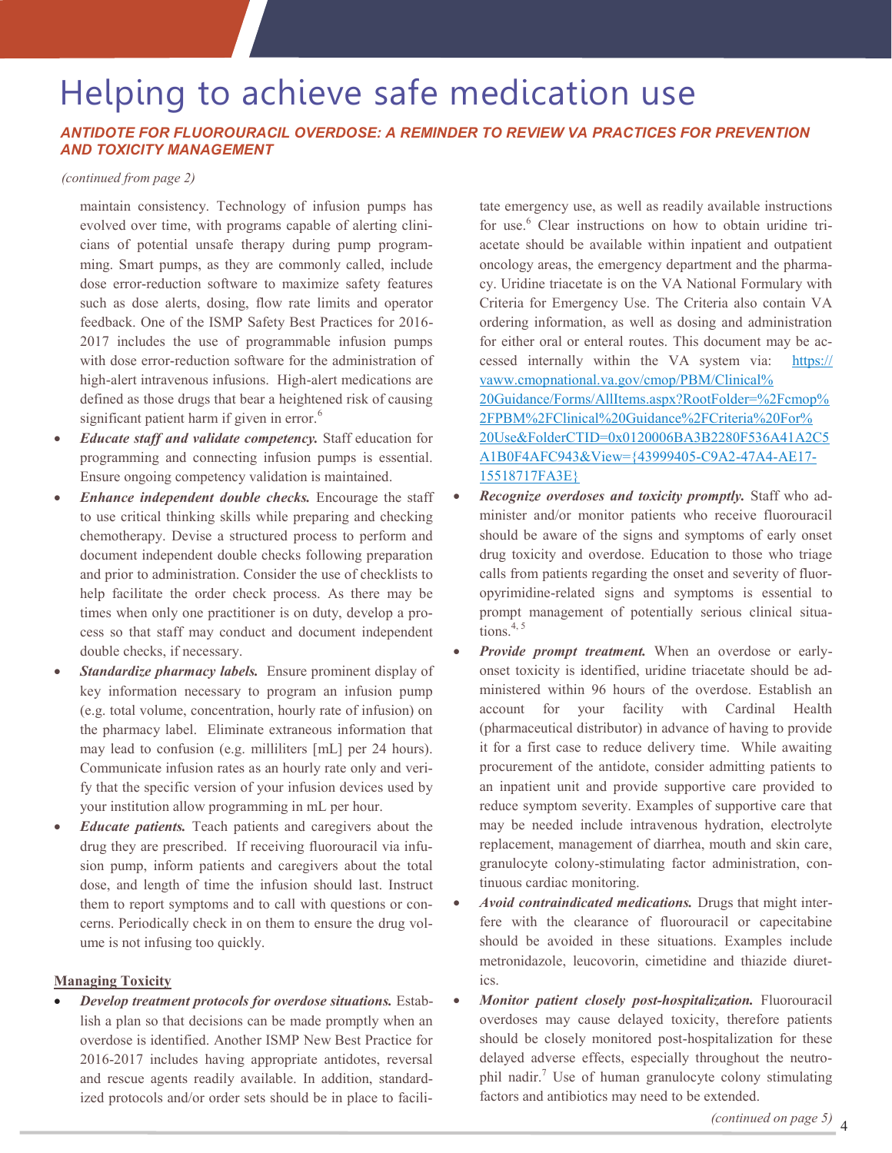## Helping to achieve safe medication use

#### *ANTIDOTE FOR FLUOROURACIL OVERDOSE: A REMINDER TO REVIEW VA PRACTICES FOR PREVENTION AND TOXICITY MANAGEMENT*

#### *(continued from page 2)*

maintain consistency. Technology of infusion pumps has evolved over time, with programs capable of alerting clinicians of potential unsafe therapy during pump programming. Smart pumps, as they are commonly called, include dose error-reduction software to maximize safety features such as dose alerts, dosing, flow rate limits and operator feedback. One of the ISMP Safety Best Practices for 2016- 2017 includes the use of programmable infusion pumps with dose error-reduction software for the administration of high-alert intravenous infusions. High-alert medications are defined as those drugs that bear a heightened risk of causing significant patient harm if given in error. $6$ 

- *Educate staff and validate competency.* Staff education for programming and connecting infusion pumps is essential. Ensure ongoing competency validation is maintained.
- *Enhance independent double checks.* Encourage the staff to use critical thinking skills while preparing and checking chemotherapy. Devise a structured process to perform and document independent double checks following preparation and prior to administration. Consider the use of checklists to help facilitate the order check process. As there may be times when only one practitioner is on duty, develop a process so that staff may conduct and document independent double checks, if necessary.
- *Standardize pharmacy labels.* Ensure prominent display of key information necessary to program an infusion pump (e.g. total volume, concentration, hourly rate of infusion) on the pharmacy label. Eliminate extraneous information that may lead to confusion (e.g. milliliters [mL] per 24 hours). Communicate infusion rates as an hourly rate only and verify that the specific version of your infusion devices used by your institution allow programming in mL per hour.
- *Educate patients.* Teach patients and caregivers about the drug they are prescribed. If receiving fluorouracil via infusion pump, inform patients and caregivers about the total dose, and length of time the infusion should last. Instruct them to report symptoms and to call with questions or concerns. Periodically check in on them to ensure the drug volume is not infusing too quickly.

#### **Managing Toxicity**

 *Develop treatment protocols for overdose situations.* Establish a plan so that decisions can be made promptly when an overdose is identified. Another ISMP New Best Practice for 2016-2017 includes having appropriate antidotes, reversal and rescue agents readily available. In addition, standardized protocols and/or order sets should be in place to facilitate emergency use, as well as readily available instructions for use.<sup>6</sup> Clear instructions on how to obtain uridine triacetate should be available within inpatient and outpatient oncology areas, the emergency department and the pharmacy. Uridine triacetate is on the VA National Formulary with Criteria for Emergency Use. The Criteria also contain VA ordering information, as well as dosing and administration for either oral or enteral routes. This document may be accessed internally within the VA system via: [https://](https://vaww.cmopnational.va.gov/cmop/PBM/Clinical%20Guidance/Forms/AllItems.aspx?RootFolder=%2Fcmop%2FPBM%2FClinical%20Guidance%2FCriteria%20For%20Use&FolderCTID=0x0120006BA3B2280F536A41A2C5A1B0F4AFC943&View=%7b43999405-C9A2-47A4-AE17-15518717FA3E%7d) [vaww.cmopnational.va.gov/cmop/PBM/Clinical%](https://vaww.cmopnational.va.gov/cmop/PBM/Clinical%20Guidance/Forms/AllItems.aspx?RootFolder=%2Fcmop%2FPBM%2FClinical%20Guidance%2FCriteria%20For%20Use&FolderCTID=0x0120006BA3B2280F536A41A2C5A1B0F4AFC943&View=%7b43999405-C9A2-47A4-AE17-15518717FA3E%7d) [20Guidance/Forms/AllItems.aspx?RootFolder=%2Fcmop%](https://vaww.cmopnational.va.gov/cmop/PBM/Clinical%20Guidance/Forms/AllItems.aspx?RootFolder=%2Fcmop%2FPBM%2FClinical%20Guidance%2FCriteria%20For%20Use&FolderCTID=0x0120006BA3B2280F536A41A2C5A1B0F4AFC943&View=%7b43999405-C9A2-47A4-AE17-15518717FA3E%7d) [2FPBM%2FClinical%20Guidance%2FCriteria%20For%](https://vaww.cmopnational.va.gov/cmop/PBM/Clinical%20Guidance/Forms/AllItems.aspx?RootFolder=%2Fcmop%2FPBM%2FClinical%20Guidance%2FCriteria%20For%20Use&FolderCTID=0x0120006BA3B2280F536A41A2C5A1B0F4AFC943&View=%7b43999405-C9A2-47A4-AE17-15518717FA3E%7d) [20Use&FolderCTID=0x0120006BA3B2280F536A41A2C5](https://vaww.cmopnational.va.gov/cmop/PBM/Clinical%20Guidance/Forms/AllItems.aspx?RootFolder=%2Fcmop%2FPBM%2FClinical%20Guidance%2FCriteria%20For%20Use&FolderCTID=0x0120006BA3B2280F536A41A2C5A1B0F4AFC943&View=%7b43999405-C9A2-47A4-AE17-15518717FA3E%7d) [A1B0F4AFC943&View={43999405](https://vaww.cmopnational.va.gov/cmop/PBM/Clinical%20Guidance/Forms/AllItems.aspx?RootFolder=%2Fcmop%2FPBM%2FClinical%20Guidance%2FCriteria%20For%20Use&FolderCTID=0x0120006BA3B2280F536A41A2C5A1B0F4AFC943&View=%7b43999405-C9A2-47A4-AE17-15518717FA3E%7d)-C9A2-47A4-AE17- [15518717FA3E}](https://vaww.cmopnational.va.gov/cmop/PBM/Clinical%20Guidance/Forms/AllItems.aspx?RootFolder=%2Fcmop%2FPBM%2FClinical%20Guidance%2FCriteria%20For%20Use&FolderCTID=0x0120006BA3B2280F536A41A2C5A1B0F4AFC943&View=%7b43999405-C9A2-47A4-AE17-15518717FA3E%7d)

- *Recognize overdoses and toxicity promptly.* Staff who administer and/or monitor patients who receive fluorouracil should be aware of the signs and symptoms of early onset drug toxicity and overdose. Education to those who triage calls from patients regarding the onset and severity of fluoropyrimidine-related signs and symptoms is essential to prompt management of potentially serious clinical situations. $4, 5$
- *Provide prompt treatment.* When an overdose or earlyonset toxicity is identified, uridine triacetate should be administered within 96 hours of the overdose. Establish an account for your facility with Cardinal Health (pharmaceutical distributor) in advance of having to provide it for a first case to reduce delivery time. While awaiting procurement of the antidote, consider admitting patients to an inpatient unit and provide supportive care provided to reduce symptom severity. Examples of supportive care that may be needed include intravenous hydration, electrolyte replacement, management of diarrhea, mouth and skin care, granulocyte colony-stimulating factor administration, continuous cardiac monitoring.
- *Avoid contraindicated medications.* Drugs that might interfere with the clearance of fluorouracil or capecitabine should be avoided in these situations. Examples include metronidazole, leucovorin, cimetidine and thiazide diuretics.
- *Monitor patient closely post-hospitalization.* Fluorouracil overdoses may cause delayed toxicity, therefore patients should be closely monitored post-hospitalization for these delayed adverse effects, especially throughout the neutrophil nadir.<sup>7</sup> Use of human granulocyte colony stimulating factors and antibiotics may need to be extended.